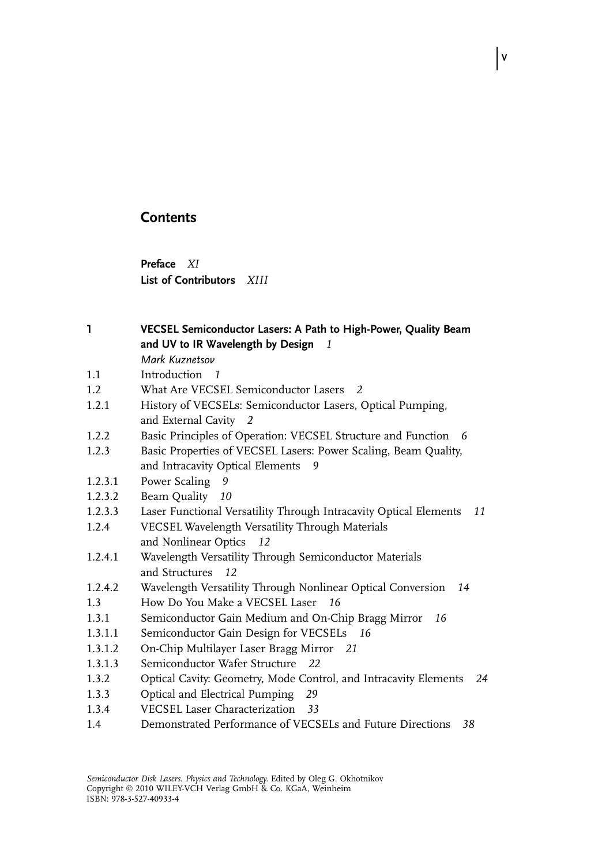# **Contents**

Preface XI List of Contributors XIII

1 VECSEL Semiconductor Lasers: A Path to High-Power, Quality Beam and UV to IR Wavelength by Design  $1$ 

V

- Mark Kuznetsov
- 1.1 Introduction 1
- 1.2 What Are VECSEL Semiconductor Lasers 2
- 1.2.1 History of VECSELs: Semiconductor Lasers, Optical Pumping, and External Cavity 2
- 1.2.2 Basic Principles of Operation: VECSEL Structure and Function 6
- 1.2.3 Basic Properties of VECSEL Lasers: Power Scaling, Beam Quality, and Intracavity Optical Elements 9
- 1.2.3.1 Power Scaling 9
- 1.2.3.2 Beam Quality 10
- 1.2.3.3 Laser Functional Versatility Through Intracavity Optical Elements 11
- 1.2.4 VECSEL Wavelength Versatility Through Materials and Nonlinear Optics 12
- 1.2.4.1 Wavelength Versatility Through Semiconductor Materials and Structures 12
- 1.2.4.2 Wavelength Versatility Through Nonlinear Optical Conversion 14
- 1.3 How Do You Make a VECSEL Laser 16
- 1.3.1 Semiconductor Gain Medium and On-Chip Bragg Mirror 16
- 1.3.1.1 Semiconductor Gain Design for VECSELs 16
- 1.3.1.2 On-Chip Multilayer Laser Bragg Mirror 21
- 1.3.1.3 Semiconductor Wafer Structure 22
- 1.3.2 Optical Cavity: Geometry, Mode Control, and Intracavity Elements 24
- 1.3.3 Optical and Electrical Pumping 29
- 1.3.4 VECSEL Laser Characterization 33
- 1.4 Demonstrated Performance of VECSELs and Future Directions 38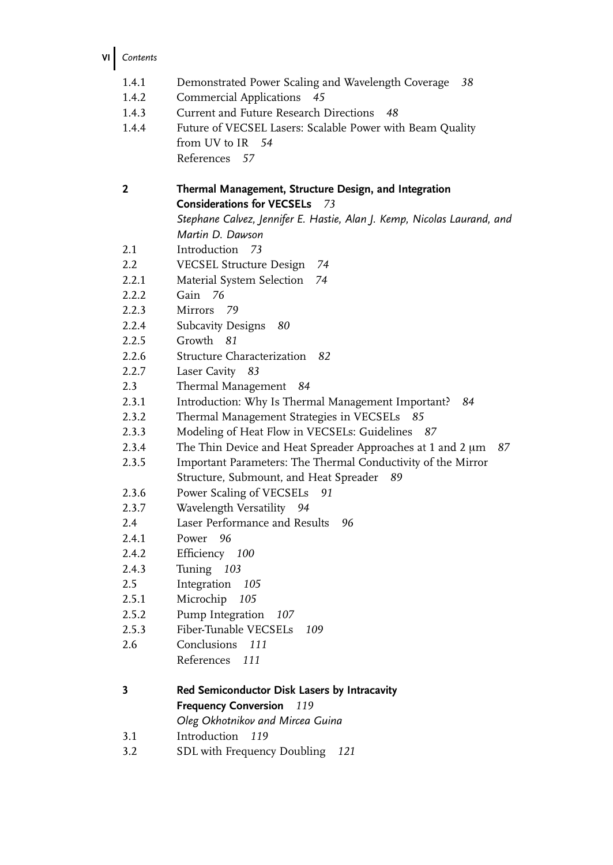VI Contents

| 1.4.1          | Demonstrated Power Scaling and Wavelength Coverage<br>38                |
|----------------|-------------------------------------------------------------------------|
| 1.4.2          | <b>Commercial Applications</b><br>45                                    |
| 1.4.3          | Current and Future Research Directions<br>48                            |
| 1.4.4          | Future of VECSEL Lasers: Scalable Power with Beam Quality               |
|                | from UV to IR 54                                                        |
|                | References 57                                                           |
|                |                                                                         |
| 2              | Thermal Management, Structure Design, and Integration                   |
|                | <b>Considerations for VECSELs</b><br>73                                 |
|                | Stephane Calvez, Jennifer E. Hastie, Alan J. Kemp, Nicolas Laurand, and |
|                | Martin D. Dawson                                                        |
| 2.1            | Introduction 73                                                         |
| 2.2            | VECSEL Structure Design<br>74                                           |
| 2.2.1          | 74<br>Material System Selection                                         |
| 2.2.2          | Gain 76                                                                 |
| 2.2.3          | Mirrors<br>- 79                                                         |
| 2.2.4          | <b>Subcavity Designs</b><br>80<br>Growth<br>81                          |
| 2.2.5          | Structure Characterization 82                                           |
| 2.2.6<br>2.2.7 | Laser Cavity 83                                                         |
| 2.3            | Thermal Management<br>84                                                |
| 2.3.1          | Introduction: Why Is Thermal Management Important?<br>84                |
| 2.3.2          | Thermal Management Strategies in VECSELs<br>85                          |
| 2.3.3          | Modeling of Heat Flow in VECSELs: Guidelines 87                         |
| 2.3.4          | The Thin Device and Heat Spreader Approaches at 1 and 2 µm<br>87        |
| 2.3.5          | Important Parameters: The Thermal Conductivity of the Mirror            |
|                | Structure, Submount, and Heat Spreader 89                               |
| 2.3.6          | Power Scaling of VECSELs<br>91                                          |
| 2.3.7          | Wavelength Versatility 94                                               |
| 2.4            | Laser Performance and Results<br>96                                     |
| 2.4.1          | Power<br>96                                                             |
| 2.4.2          | Efficiency 100                                                          |
| 2.4.3          | Tuning 103                                                              |
| 2.5            | Integration<br>105                                                      |
| 2.5.1          | Microchip 105                                                           |
| 2.5.2          | Pump Integration<br>107                                                 |
| 2.5.3          | Fiber-Tunable VECSELs<br>109                                            |
| 2.6            | Conclusions 111                                                         |
|                | References<br>111                                                       |
| 3              | Red Semiconductor Disk Lasers by Intracavity                            |
|                | <b>Frequency Conversion</b><br>119                                      |
|                | Oleg Okhotnikov and Mircea Guina                                        |
| 3.1            | Introduction<br>119                                                     |
| 3.2            | SDL with Frequency Doubling<br>121                                      |
|                |                                                                         |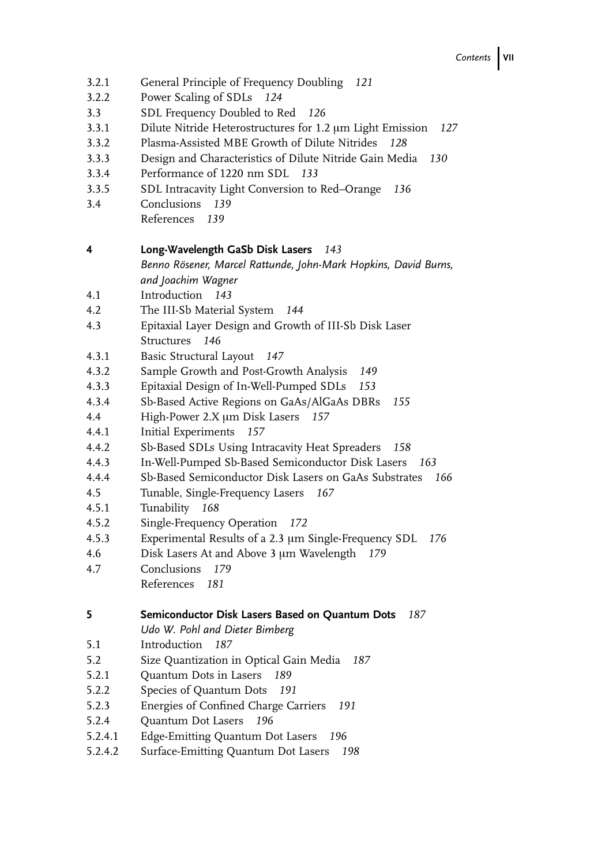- 3.2.1 General Principle of Frequency Doubling 121
- 3.2.2 Power Scaling of SDLs 124
- 3.3 SDL Frequency Doubled to Red 126
- 3.3.1 Dilute Nitride Heterostructures for 1.2 um Light Emission 127
- 3.3.2 Plasma-Assisted MBE Growth of Dilute Nitrides 128
- 3.3.3 Design and Characteristics of Dilute Nitride Gain Media 130
- 3.3.4 Performance of 1220 nm SDL 133
- 3.3.5 SDL Intracavity Light Conversion to Red–Orange 136
- 3.4 Conclusions 139
	- References 139

## 4 Long-Wavelength GaSb Disk Lasers 143

Benno Rösener, Marcel Rattunde, John-Mark Hopkins, David Burns, and Joachim Wagner

- 4.1 Introduction 143
- 4.2 The III-Sb Material System 144
- 4.3 Epitaxial Layer Design and Growth of III-Sb Disk Laser Structures 146
- 4.3.1 Basic Structural Layout 147
- 4.3.2 Sample Growth and Post-Growth Analysis 149
- 4.3.3 Epitaxial Design of In-Well-Pumped SDLs 153
- 4.3.4 Sb-Based Active Regions on GaAs/AlGaAs DBRs 155
- 4.4 High-Power 2.X µm Disk Lasers 157
- 4.4.1 Initial Experiments 157
- 4.4.2 Sb-Based SDLs Using Intracavity Heat Spreaders 158
- 4.4.3 In-Well-Pumped Sb-Based Semiconductor Disk Lasers 163
- 4.4.4 Sb-Based Semiconductor Disk Lasers on GaAs Substrates 166
- 4.5 Tunable, Single-Frequency Lasers 167
- 4.5.1 Tunability 168
- 4.5.2 Single-Frequency Operation 172
- 4.5.3 Experimental Results of a 2.3 um Single-Frequency SDL 176
- 4.6 Disk Lasers At and Above 3 um Wavelength 179
- 4.7 Conclusions 179
	- References 181
- 5 **Semiconductor Disk Lasers Based on Quantum Dots** 187
	- Udo W. Pohl and Dieter Bimberg
- 5.1 Introduction 187
- 5.2 Size Quantization in Optical Gain Media 187
- 5.2.1 Quantum Dots in Lasers 189
- 5.2.2 Species of Quantum Dots 191
- 5.2.3 Energies of Confined Charge Carriers 191
- 5.2.4 Quantum Dot Lasers 196
- 5.2.4.1 Edge-Emitting Quantum Dot Lasers 196
- 5.2.4.2 Surface-Emitting Quantum Dot Lasers 198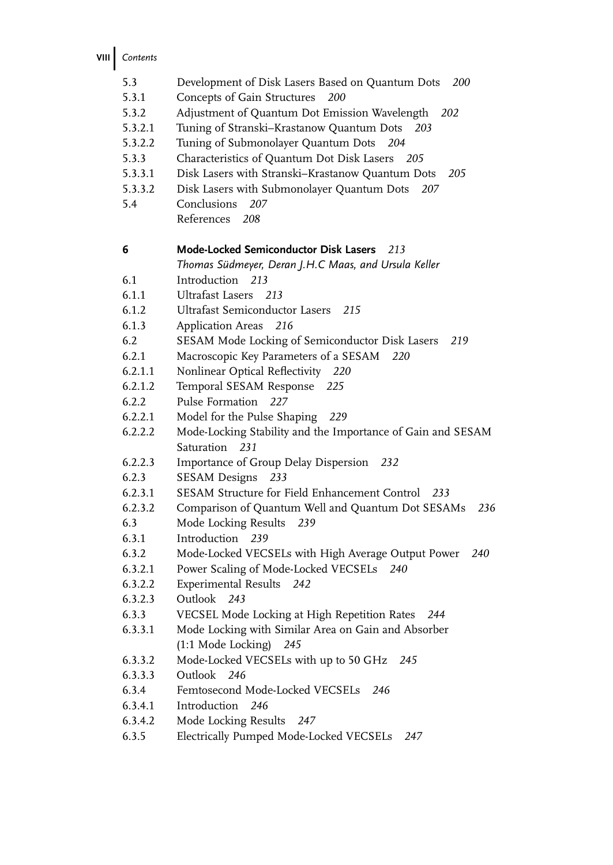VIII Contents

| 5.3     | Development of Disk Lasers Based on Quantum Dots<br><b>200</b> |
|---------|----------------------------------------------------------------|
| 5.3.1   | Concepts of Gain Structures 200                                |
| 5.3.2   | Adjustment of Quantum Dot Emission Wavelength<br>202           |
| 5.3.2.1 | Tuning of Stranski-Krastanow Quantum Dots<br>203               |
| 5.3.2.2 | Tuning of Submonolayer Quantum Dots<br>204                     |
| 5.3.3   | Characteristics of Quantum Dot Disk Lasers<br>- 205            |
| 5.3.3.1 | Disk Lasers with Stranski-Krastanow Quantum Dots<br>205        |
| 5.3.3.2 | Disk Lasers with Submonolayer Quantum Dots<br>207              |
| 5.4     | Conclusions<br>207                                             |
|         | References<br>208                                              |
|         |                                                                |
| 6       | Mode-Locked Semiconductor Disk Lasers 213                      |
|         | Thomas Südmeyer, Deran J.H.C Maas, and Ursula Keller           |
| 6.1     | Introduction 213                                               |
| 6.1.1   | Ultrafast Lasers 213                                           |
| 6.1.2   | Ultrafast Semiconductor Lasers<br>215                          |
| 6.1.3   | Application Areas 216                                          |
| 6.2     | SESAM Mode Locking of Semiconductor Disk Lasers<br>219         |
| 6.2.1   | Macroscopic Key Parameters of a SESAM<br>220                   |
| 6.2.1.1 | Nonlinear Optical Reflectivity 220                             |
| 6.2.1.2 | Temporal SESAM Response<br>225                                 |
| 6.2.2   | Pulse Formation 227                                            |
| 6.2.2.1 | Model for the Pulse Shaping<br>229                             |
| 6.2.2.2 | Mode-Locking Stability and the Importance of Gain and SESAM    |
|         | Saturation 231                                                 |
| 6.2.2.3 | Importance of Group Delay Dispersion 232                       |
| 6.2.3   | SESAM Designs 233                                              |
| 6.2.3.1 | SESAM Structure for Field Enhancement Control 233              |
| 6.2.3.2 | Comparison of Quantum Well and Quantum Dot SESAMs<br>236       |
| 6.3     | Mode Locking Results<br>239                                    |
| 6.3.1   | Introduction 239                                               |
| 6.3.2   | Mode-Locked VECSELs with High Average Output Power<br>240      |
| 6.3.2.1 | Power Scaling of Mode-Locked VECSELs 240                       |
| 6.3.2.2 | Experimental Results 242                                       |
| 6.3.2.3 | Outlook 243                                                    |
| 6.3.3   | VECSEL Mode Locking at High Repetition Rates<br>244            |
| 6.3.3.1 | Mode Locking with Similar Area on Gain and Absorber            |
|         | (1:1 Mode Locking) 245                                         |
| 6.3.3.2 | Mode-Locked VECSELs with up to 50 GHz<br>245                   |
| 6.3.3.3 | Outlook<br>246                                                 |
| 6.3.4   | Femtosecond Mode-Locked VECSELs<br>246                         |
| 6.3.4.1 | Introduction<br>246                                            |
| 6.3.4.2 | Mode Locking Results<br>247                                    |
| 6.3.5   | Electrically Pumped Mode-Locked VECSELs<br>247                 |